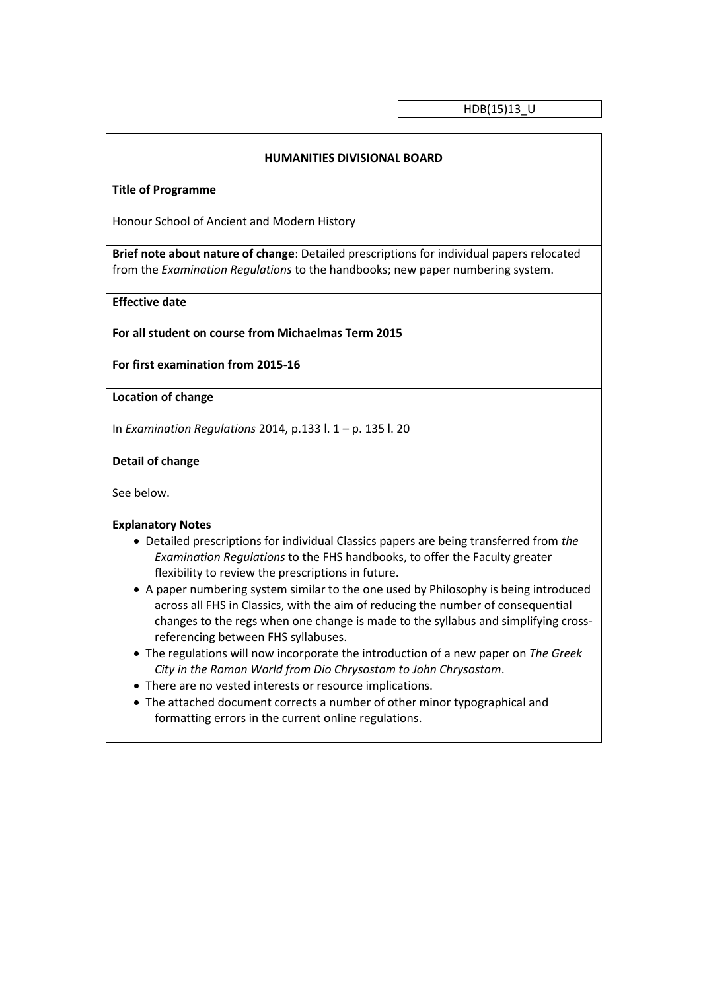# **HUMANITIES DIVISIONAL BOARD**

## **Title of Programme**

Honour School of Ancient and Modern History

**Brief note about nature of change**: Detailed prescriptions for individual papers relocated from the *Examination Regulations* to the handbooks; new paper numbering system.

**Effective date**

**For all student on course from Michaelmas Term 2015**

**For first examination from 2015-16**

**Location of change**

In *Examination Regulations* 2014, p.133 l. 1 – p. 135 l. 20

**Detail of change**

See below.

### **Explanatory Notes**

- Detailed prescriptions for individual Classics papers are being transferred from *the Examination Regulations* to the FHS handbooks, to offer the Faculty greater flexibility to review the prescriptions in future.
- A paper numbering system similar to the one used by Philosophy is being introduced across all FHS in Classics, with the aim of reducing the number of consequential changes to the regs when one change is made to the syllabus and simplifying crossreferencing between FHS syllabuses.
- The regulations will now incorporate the introduction of a new paper on *The Greek City in the Roman World from Dio Chrysostom to John Chrysostom*.
- There are no vested interests or resource implications.
- The attached document corrects a number of other minor typographical and formatting errors in the current online regulations.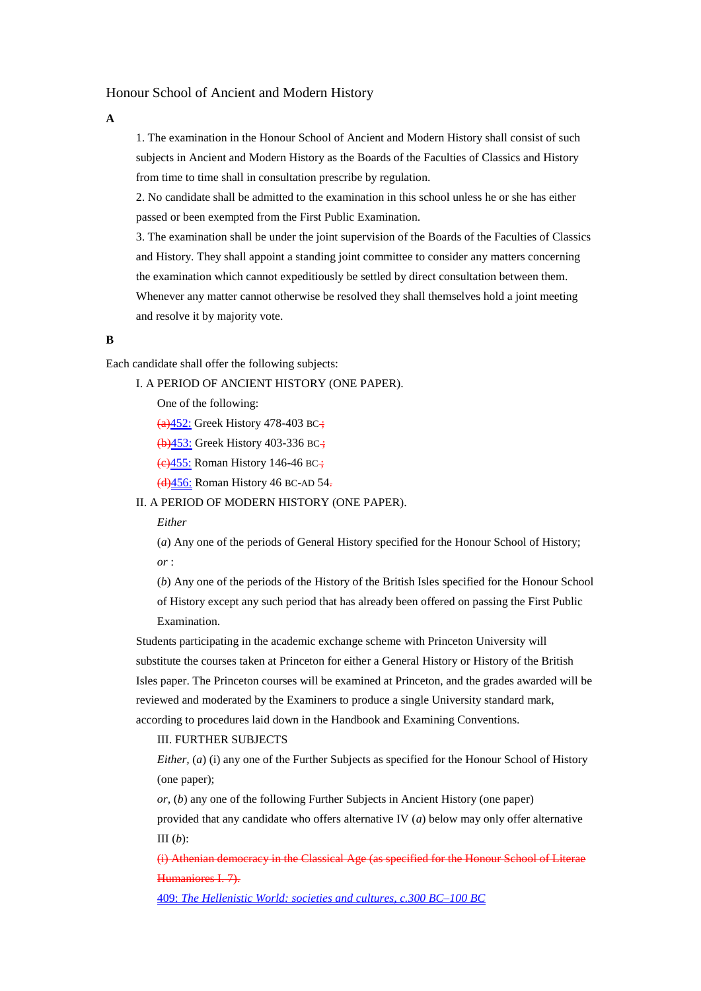#### Honour School of Ancient and Modern History

**A**

1. The examination in the Honour School of Ancient and Modern History shall consist of such subjects in Ancient and Modern History as the Boards of the Faculties of Classics and History from time to time shall in consultation prescribe by regulation.

2. No candidate shall be admitted to the examination in this school unless he or she has either passed or been exempted from the First Public Examination.

3. The examination shall be under the joint supervision of the Boards of the Faculties of Classics and History. They shall appoint a standing joint committee to consider any matters concerning the examination which cannot expeditiously be settled by direct consultation between them. Whenever any matter cannot otherwise be resolved they shall themselves hold a joint meeting and resolve it by majority vote.

### **B**

Each candidate shall offer the following subjects:

I. A PERIOD OF ANCIENT HISTORY (ONE PAPER).

One of the following:

 $(a)$ 452: Greek History 478-403 BC $\div$ 

(b) 453: Greek History 403-336 BC;

 $(e)$ 455: Roman History 146-46 BC;

(d)456: Roman History 46 BC-AD 54.

II. A PERIOD OF MODERN HISTORY (ONE PAPER).

*Either*

(*a*) Any one of the periods of General History specified for the Honour School of History; *or* :

(*b*) Any one of the periods of the History of the British Isles specified for the Honour School of History except any such period that has already been offered on passing the First Public Examination.

Students participating in the academic exchange scheme with Princeton University will substitute the courses taken at Princeton for either a General History or History of the British Isles paper. The Princeton courses will be examined at Princeton, and the grades awarded will be reviewed and moderated by the Examiners to produce a single University standard mark, according to procedures laid down in the Handbook and Examining Conventions.

#### III. FURTHER SUBJECTS

*Either,* (*a*) (i) any one of the Further Subjects as specified for the Honour School of History (one paper);

*or,* (*b*) any one of the following Further Subjects in Ancient History (one paper) provided that any candidate who offers alternative IV (*a*) below may only offer alternative III (*b*):

(i) Athenian democracy in the Classical Age (as specified for the Honour School of Literae Humaniores I. 7).

409: *The Hellenistic World: societies and cultures, c.300 BC–100 BC*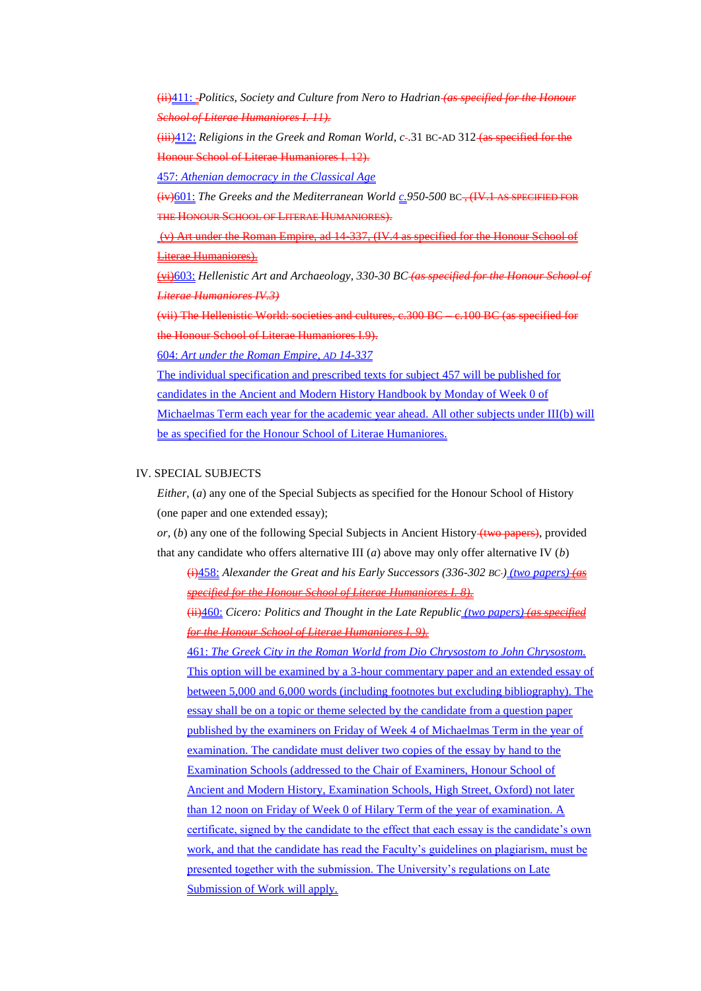(ii)411: *Politics, Society and Culture from Nero to Hadrian (as specified for the Honour School of Literae Humaniores I. 11).*

(iii)412: *Religions in the Greek and Roman World*, *c* .31 BC-AD 312 (as specified for the Honour School of Literae Humaniores I. 12).

457: *Athenian democracy in the Classical Age*

(iv)601: *The Greeks and the Mediterranean World c.950-500* BC , (IV.1 AS SPECIFIED FOR THE HONOUR SCHOOL OF LITERAE HUMANIORES).

(v) Art under the Roman Empire, ad 14-337, (IV.4 as specified for the Honour School of Literae Humaniores).

(vi)603: *Hellenistic Art and Archaeology, 330-30 BC (as specified for the Honour School of Literae Humaniores IV.3)*

(vii) The Hellenistic World: societies and cultures, c.300 BC – c.100 BC (as specified for the Honour School of Literae Humaniores I.9).

604: *Art under the Roman Empire, AD 14-337*

The individual specification and prescribed texts for subject 457 will be published for candidates in the Ancient and Modern History Handbook by Monday of Week 0 of Michaelmas Term each year for the academic year ahead. All other subjects under III(b) will be as specified for the Honour School of Literae Humaniores.

### IV. SPECIAL SUBJECTS

*Either,* (*a*) any one of the Special Subjects as specified for the Honour School of History (one paper and one extended essay);

*or,* (*b*) any one of the following Special Subjects in Ancient History (two papers), provided that any candidate who offers alternative III (*a*) above may only offer alternative IV (*b*)

(i)458: *Alexander the Great and his Early Successors (336-302 BC ) (two papers) (as specified for the Honour School of Literae Humaniores I. 8).*

(ii)460: *Cicero: Politics and Thought in the Late Republic (two papers) (as specified for the Honour School of Literae Humaniores I. 9).*

461: *The Greek City in the Roman World from Dio Chrysostom to John Chrysostom.* This option will be examined by a 3-hour commentary paper and an extended essay of between 5,000 and 6,000 words (including footnotes but excluding bibliography). The essay shall be on a topic or theme selected by the candidate from a question paper published by the examiners on Friday of Week 4 of Michaelmas Term in the year of examination. The candidate must deliver two copies of the essay by hand to the Examination Schools (addressed to the Chair of Examiners, Honour School of Ancient and Modern History, Examination Schools, High Street, Oxford) not later than 12 noon on Friday of Week 0 of Hilary Term of the year of examination. A certificate, signed by the candidate to the effect that each essay is the candidate's own work, and that the candidate has read the Faculty's guidelines on plagiarism, must be presented together with the submission. The University's regulations on Late Submission of Work will apply.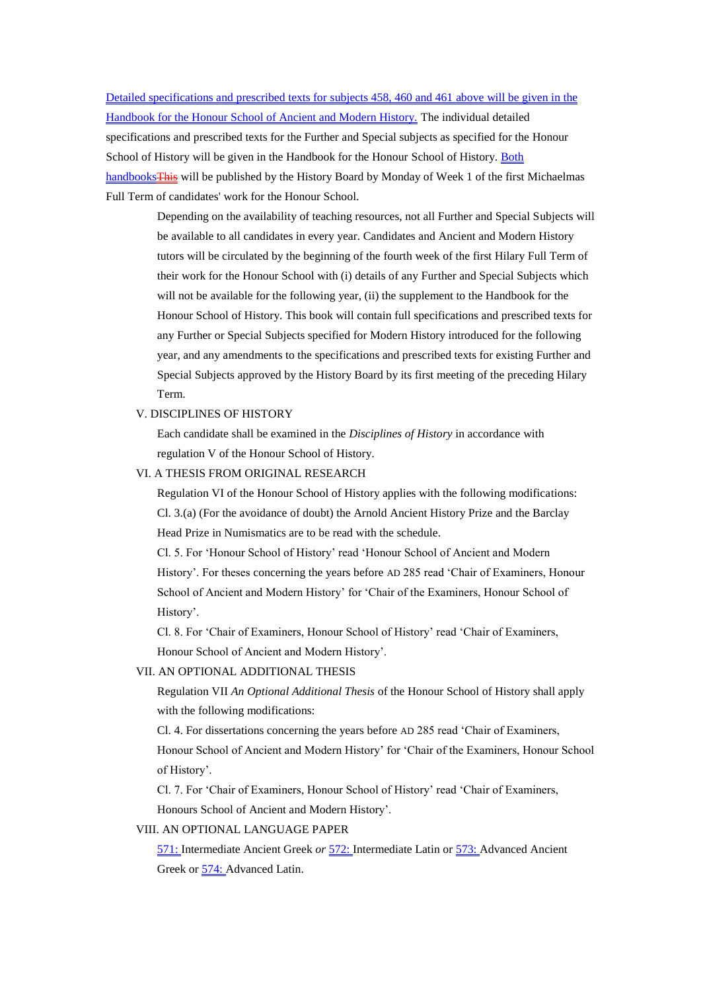Detailed specifications and prescribed texts for subjects 458, 460 and 461 above will be given in the Handbook for the Honour School of Ancient and Modern History. The individual detailed specifications and prescribed texts for the Further and Special subjects as specified for the Honour School of History will be given in the Handbook for the Honour School of History. Both handbooks<del>This</del> will be published by the History Board by Monday of Week 1 of the first Michaelmas Full Term of candidates' work for the Honour School.

> Depending on the availability of teaching resources, not all Further and Special Subjects will be available to all candidates in every year. Candidates and Ancient and Modern History tutors will be circulated by the beginning of the fourth week of the first Hilary Full Term of their work for the Honour School with (i) details of any Further and Special Subjects which will not be available for the following year, (ii) the supplement to the Handbook for the Honour School of History. This book will contain full specifications and prescribed texts for any Further or Special Subjects specified for Modern History introduced for the following year, and any amendments to the specifications and prescribed texts for existing Further and Special Subjects approved by the History Board by its first meeting of the preceding Hilary Term.

#### V. DISCIPLINES OF HISTORY

Each candidate shall be examined in the *Disciplines of History* in accordance with regulation V of the Honour School of History.

### VI. A THESIS FROM ORIGINAL RESEARCH

Regulation VI of the Honour School of History applies with the following modifications: Cl. 3.(a) (For the avoidance of doubt) the Arnold Ancient History Prize and the Barclay Head Prize in Numismatics are to be read with the schedule.

Cl. 5. For 'Honour School of History' read 'Honour School of Ancient and Modern History'. For theses concerning the years before AD 285 read 'Chair of Examiners, Honour School of Ancient and Modern History' for 'Chair of the Examiners, Honour School of History'.

Cl. 8. For 'Chair of Examiners, Honour School of History' read 'Chair of Examiners, Honour School of Ancient and Modern History'.

### VII. AN OPTIONAL ADDITIONAL THESIS

Regulation VII *An Optional Additional Thesis* of the Honour School of History shall apply with the following modifications:

Cl. 4. For dissertations concerning the years before AD 285 read 'Chair of Examiners,

Honour School of Ancient and Modern History' for 'Chair of the Examiners, Honour School of History'.

Cl. 7. For 'Chair of Examiners, Honour School of History' read 'Chair of Examiners, Honours School of Ancient and Modern History'.

## VIII. AN OPTIONAL LANGUAGE PAPER

571: Intermediate Ancient Greek *or* 572: Intermediate Latin or 573: Advanced Ancient Greek or 574: Advanced Latin.